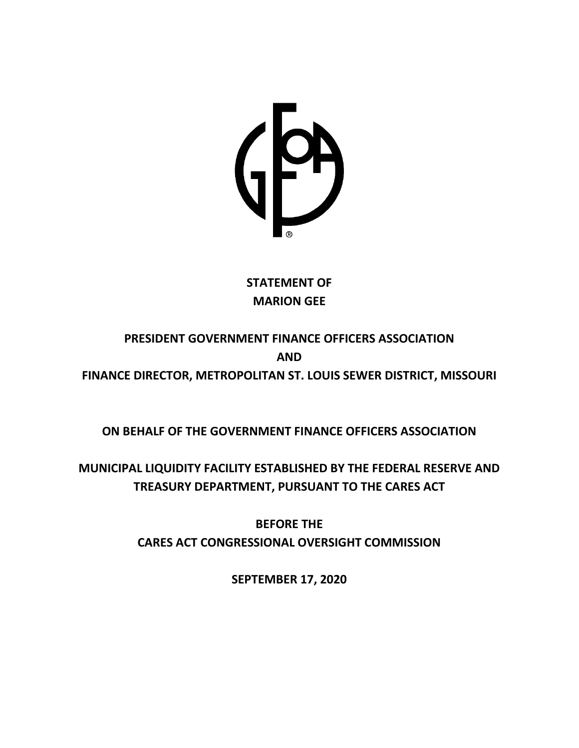

## **STATEMENT OF MARION GEE**

# **PRESIDENT GOVERNMENT FINANCE OFFICERS ASSOCIATION AND FINANCE DIRECTOR, METROPOLITAN ST. LOUIS SEWER DISTRICT, MISSOURI**

**ON BEHALF OF THE GOVERNMENT FINANCE OFFICERS ASSOCIATION**

**MUNICIPAL LIQUIDITY FACILITY ESTABLISHED BY THE FEDERAL RESERVE AND TREASURY DEPARTMENT, PURSUANT TO THE CARES ACT**

> **BEFORE THE CARES ACT CONGRESSIONAL OVERSIGHT COMMISSION**

> > **SEPTEMBER 17, 2020**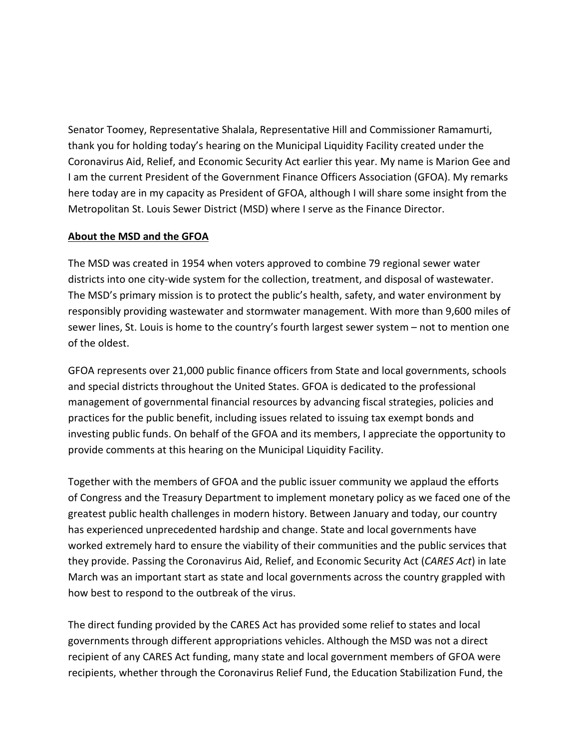Senator Toomey, Representative Shalala, Representative Hill and Commissioner Ramamurti, thank you for holding today's hearing on the Municipal Liquidity Facility created under the Coronavirus Aid, Relief, and Economic Security Act earlier this year. My name is Marion Gee and I am the current President of the Government Finance Officers Association (GFOA). My remarks here today are in my capacity as President of GFOA, although I will share some insight from the Metropolitan St. Louis Sewer District (MSD) where I serve as the Finance Director.

#### **About the MSD and the GFOA**

The MSD was created in 1954 when voters approved to combine 79 regional sewer water districts into one city-wide system for the collection, treatment, and disposal of wastewater. The MSD's primary mission is to protect the public's health, safety, and water environment by responsibly providing wastewater and stormwater management. With more than 9,600 miles of sewer lines, St. Louis is home to the country's fourth largest sewer system – not to mention one of the oldest.

GFOA represents over 21,000 public finance officers from State and local governments, schools and special districts throughout the United States. GFOA is dedicated to the professional management of governmental financial resources by advancing fiscal strategies, policies and practices for the public benefit, including issues related to issuing tax exempt bonds and investing public funds. On behalf of the GFOA and its members, I appreciate the opportunity to provide comments at this hearing on the Municipal Liquidity Facility.

Together with the members of GFOA and the public issuer community we applaud the efforts of Congress and the Treasury Department to implement monetary policy as we faced one of the greatest public health challenges in modern history. Between January and today, our country has experienced unprecedented hardship and change. State and local governments have worked extremely hard to ensure the viability of their communities and the public services that they provide. Passing the Coronavirus Aid, Relief, and Economic Security Act (*CARES Act*) in late March was an important start as state and local governments across the country grappled with how best to respond to the outbreak of the virus.

The direct funding provided by the CARES Act has provided some relief to states and local governments through different appropriations vehicles. Although the MSD was not a direct recipient of any CARES Act funding, many state and local government members of GFOA were recipients, whether through the Coronavirus Relief Fund, the Education Stabilization Fund, the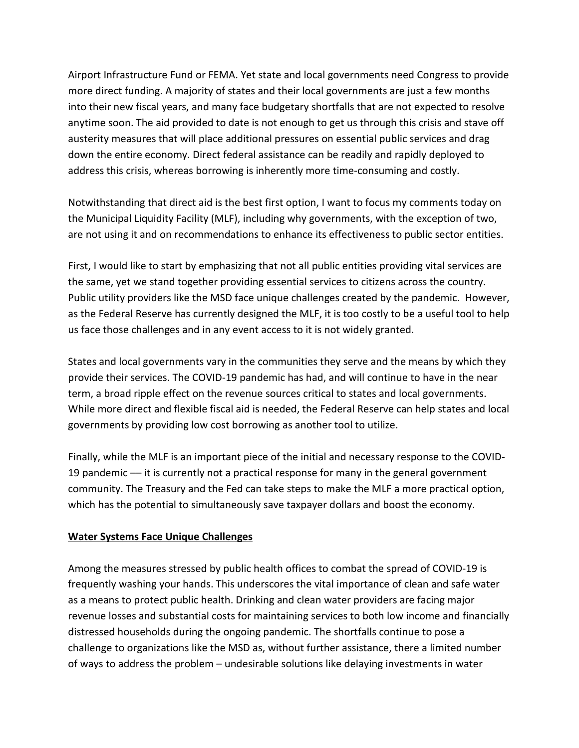Airport Infrastructure Fund or FEMA. Yet state and local governments need Congress to provide more direct funding. A majority of states and their local governments are just a few months into their new fiscal years, and many face budgetary shortfalls that are not expected to resolve anytime soon. The aid provided to date is not enough to get us through this crisis and stave off austerity measures that will place additional pressures on essential public services and drag down the entire economy. Direct federal assistance can be readily and rapidly deployed to address this crisis, whereas borrowing is inherently more time-consuming and costly.

Notwithstanding that direct aid is the best first option, I want to focus my comments today on the Municipal Liquidity Facility (MLF), including why governments, with the exception of two, are not using it and on recommendations to enhance its effectiveness to public sector entities.

First, I would like to start by emphasizing that not all public entities providing vital services are the same, yet we stand together providing essential services to citizens across the country. Public utility providers like the MSD face unique challenges created by the pandemic. However, as the Federal Reserve has currently designed the MLF, it is too costly to be a useful tool to help us face those challenges and in any event access to it is not widely granted.

States and local governments vary in the communities they serve and the means by which they provide their services. The COVID-19 pandemic has had, and will continue to have in the near term, a broad ripple effect on the revenue sources critical to states and local governments. While more direct and flexible fiscal aid is needed, the Federal Reserve can help states and local governments by providing low cost borrowing as another tool to utilize.

Finally, while the MLF is an important piece of the initial and necessary response to the COVID-19 pandemic –– it is currently not a practical response for many in the general government community. The Treasury and the Fed can take steps to make the MLF a more practical option, which has the potential to simultaneously save taxpayer dollars and boost the economy.

### **Water Systems Face Unique Challenges**

Among the measures stressed by public health offices to combat the spread of COVID-19 is frequently washing your hands. This underscores the vital importance of clean and safe water as a means to protect public health. Drinking and clean water providers are facing major revenue losses and substantial costs for maintaining services to both low income and financially distressed households during the ongoing pandemic. The shortfalls continue to pose a challenge to organizations like the MSD as, without further assistance, there a limited number of ways to address the problem – undesirable solutions like delaying investments in water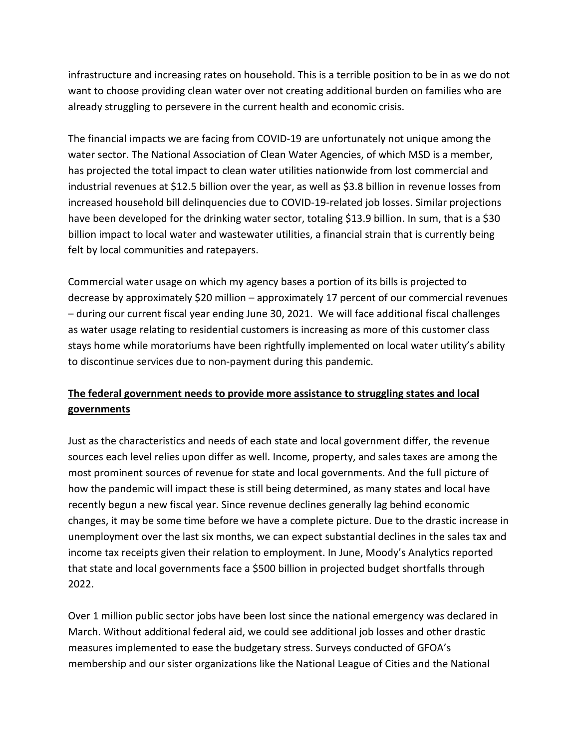infrastructure and increasing rates on household. This is a terrible position to be in as we do not want to choose providing clean water over not creating additional burden on families who are already struggling to persevere in the current health and economic crisis.

The financial impacts we are facing from COVID-19 are unfortunately not unique among the water sector. The National Association of Clean Water Agencies, of which MSD is a member, has projected the total impact to clean water utilities nationwide from lost commercial and industrial revenues at \$12.5 billion over the year, as well as \$3.8 billion in revenue losses from increased household bill delinquencies due to COVID-19-related job losses. Similar projections have been developed for the drinking water sector, totaling \$13.9 billion. In sum, that is a \$30 billion impact to local water and wastewater utilities, a financial strain that is currently being felt by local communities and ratepayers.

Commercial water usage on which my agency bases a portion of its bills is projected to decrease by approximately \$20 million – approximately 17 percent of our commercial revenues – during our current fiscal year ending June 30, 2021. We will face additional fiscal challenges as water usage relating to residential customers is increasing as more of this customer class stays home while moratoriums have been rightfully implemented on local water utility's ability to discontinue services due to non-payment during this pandemic.

## **The federal government needs to provide more assistance to struggling states and local governments**

Just as the characteristics and needs of each state and local government differ, the revenue sources each level relies upon differ as well. Income, property, and sales taxes are among the most prominent sources of revenue for state and local governments. And the full picture of how the pandemic will impact these is still being determined, as many states and local have recently begun a new fiscal year. Since revenue declines generally lag behind economic changes, it may be some time before we have a complete picture. Due to the drastic increase in unemployment over the last six months, we can expect substantial declines in the sales tax and income tax receipts given their relation to employment. In June, Moody's Analytics reported that state and local governments face a \$500 billion in projected budget shortfalls through 2022.

Over 1 million public sector jobs have been lost since the national emergency was declared in March. Without additional federal aid, we could see additional job losses and other drastic measures implemented to ease the budgetary stress. Surveys conducted of GFOA's membership and our sister organizations like the National League of Cities and the National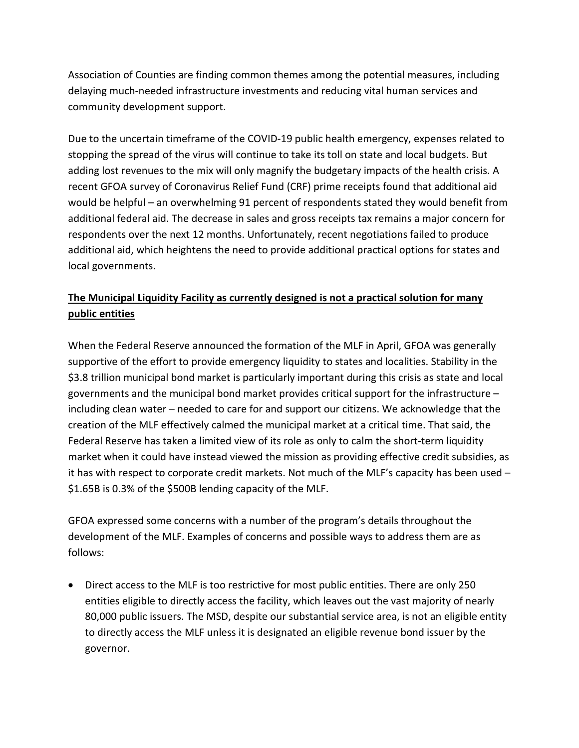Association of Counties are finding common themes among the potential measures, including delaying much-needed infrastructure investments and reducing vital human services and community development support.

Due to the uncertain timeframe of the COVID-19 public health emergency, expenses related to stopping the spread of the virus will continue to take its toll on state and local budgets. But adding lost revenues to the mix will only magnify the budgetary impacts of the health crisis. A recent GFOA survey of Coronavirus Relief Fund (CRF) prime receipts found that additional aid would be helpful – an overwhelming 91 percent of respondents stated they would benefit from additional federal aid. The decrease in sales and gross receipts tax remains a major concern for respondents over the next 12 months. Unfortunately, recent negotiations failed to produce additional aid, which heightens the need to provide additional practical options for states and local governments.

## **The Municipal Liquidity Facility as currently designed is not a practical solution for many public entities**

When the Federal Reserve announced the formation of the MLF in April, GFOA was generally supportive of the effort to provide emergency liquidity to states and localities. Stability in the \$3.8 trillion municipal bond market is particularly important during this crisis as state and local governments and the municipal bond market provides critical support for the infrastructure – including clean water – needed to care for and support our citizens. We acknowledge that the creation of the MLF effectively calmed the municipal market at a critical time. That said, the Federal Reserve has taken a limited view of its role as only to calm the short-term liquidity market when it could have instead viewed the mission as providing effective credit subsidies, as it has with respect to corporate credit markets. Not much of the MLF's capacity has been used – \$1.65B is 0.3% of the \$500B lending capacity of the MLF.

GFOA expressed some concerns with a number of the program's details throughout the development of the MLF. Examples of concerns and possible ways to address them are as follows:

• Direct access to the MLF is too restrictive for most public entities. There are only 250 entities eligible to directly access the facility, which leaves out the vast majority of nearly 80,000 public issuers. The MSD, despite our substantial service area, is not an eligible entity to directly access the MLF unless it is designated an eligible revenue bond issuer by the governor.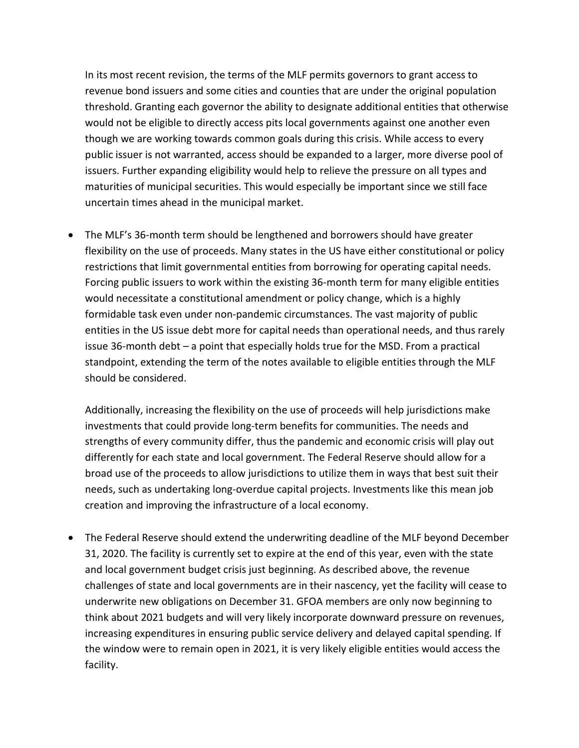In its most recent revision, the terms of the MLF permits governors to grant access to revenue bond issuers and some cities and counties that are under the original population threshold. Granting each governor the ability to designate additional entities that otherwise would not be eligible to directly access pits local governments against one another even though we are working towards common goals during this crisis. While access to every public issuer is not warranted, access should be expanded to a larger, more diverse pool of issuers. Further expanding eligibility would help to relieve the pressure on all types and maturities of municipal securities. This would especially be important since we still face uncertain times ahead in the municipal market.

• The MLF's 36-month term should be lengthened and borrowers should have greater flexibility on the use of proceeds. Many states in the US have either constitutional or policy restrictions that limit governmental entities from borrowing for operating capital needs. Forcing public issuers to work within the existing 36-month term for many eligible entities would necessitate a constitutional amendment or policy change, which is a highly formidable task even under non-pandemic circumstances. The vast majority of public entities in the US issue debt more for capital needs than operational needs, and thus rarely issue 36-month debt – a point that especially holds true for the MSD. From a practical standpoint, extending the term of the notes available to eligible entities through the MLF should be considered.

Additionally, increasing the flexibility on the use of proceeds will help jurisdictions make investments that could provide long-term benefits for communities. The needs and strengths of every community differ, thus the pandemic and economic crisis will play out differently for each state and local government. The Federal Reserve should allow for a broad use of the proceeds to allow jurisdictions to utilize them in ways that best suit their needs, such as undertaking long-overdue capital projects. Investments like this mean job creation and improving the infrastructure of a local economy.

• The Federal Reserve should extend the underwriting deadline of the MLF beyond December 31, 2020. The facility is currently set to expire at the end of this year, even with the state and local government budget crisis just beginning. As described above, the revenue challenges of state and local governments are in their nascency, yet the facility will cease to underwrite new obligations on December 31. GFOA members are only now beginning to think about 2021 budgets and will very likely incorporate downward pressure on revenues, increasing expenditures in ensuring public service delivery and delayed capital spending. If the window were to remain open in 2021, it is very likely eligible entities would access the facility.